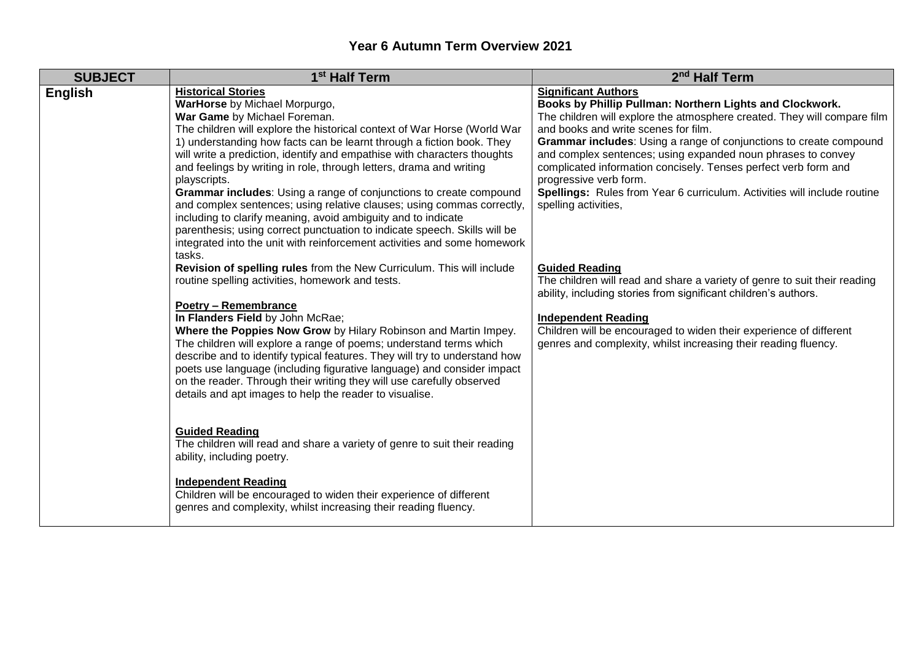| <b>SUBJECT</b> | 1 <sup>st</sup> Half Term                                                                                                                       | 2 <sup>nd</sup> Half Term                                                                                                       |
|----------------|-------------------------------------------------------------------------------------------------------------------------------------------------|---------------------------------------------------------------------------------------------------------------------------------|
| <b>English</b> | <b>Historical Stories</b>                                                                                                                       | <b>Significant Authors</b>                                                                                                      |
|                | WarHorse by Michael Morpurgo,                                                                                                                   | Books by Phillip Pullman: Northern Lights and Clockwork.                                                                        |
|                | War Game by Michael Foreman.                                                                                                                    | The children will explore the atmosphere created. They will compare film                                                        |
|                | The children will explore the historical context of War Horse (World War                                                                        | and books and write scenes for film.                                                                                            |
|                | 1) understanding how facts can be learnt through a fiction book. They                                                                           | Grammar includes: Using a range of conjunctions to create compound                                                              |
|                | will write a prediction, identify and empathise with characters thoughts<br>and feelings by writing in role, through letters, drama and writing | and complex sentences; using expanded noun phrases to convey<br>complicated information concisely. Tenses perfect verb form and |
|                | playscripts.                                                                                                                                    | progressive verb form.                                                                                                          |
|                | Grammar includes: Using a range of conjunctions to create compound                                                                              | Spellings: Rules from Year 6 curriculum. Activities will include routine                                                        |
|                | and complex sentences; using relative clauses; using commas correctly,                                                                          | spelling activities,                                                                                                            |
|                | including to clarify meaning, avoid ambiguity and to indicate                                                                                   |                                                                                                                                 |
|                | parenthesis; using correct punctuation to indicate speech. Skills will be                                                                       |                                                                                                                                 |
|                | integrated into the unit with reinforcement activities and some homework                                                                        |                                                                                                                                 |
|                | tasks.                                                                                                                                          |                                                                                                                                 |
|                | Revision of spelling rules from the New Curriculum. This will include                                                                           | <b>Guided Reading</b>                                                                                                           |
|                | routine spelling activities, homework and tests.                                                                                                | The children will read and share a variety of genre to suit their reading                                                       |
|                |                                                                                                                                                 | ability, including stories from significant children's authors.                                                                 |
|                | <b>Poetry - Remembrance</b><br>In Flanders Field by John McRae;                                                                                 | <b>Independent Reading</b>                                                                                                      |
|                | Where the Poppies Now Grow by Hilary Robinson and Martin Impey.                                                                                 | Children will be encouraged to widen their experience of different                                                              |
|                | The children will explore a range of poems; understand terms which                                                                              | genres and complexity, whilst increasing their reading fluency.                                                                 |
|                | describe and to identify typical features. They will try to understand how                                                                      |                                                                                                                                 |
|                | poets use language (including figurative language) and consider impact                                                                          |                                                                                                                                 |
|                | on the reader. Through their writing they will use carefully observed                                                                           |                                                                                                                                 |
|                | details and apt images to help the reader to visualise.                                                                                         |                                                                                                                                 |
|                |                                                                                                                                                 |                                                                                                                                 |
|                |                                                                                                                                                 |                                                                                                                                 |
|                | <b>Guided Reading</b>                                                                                                                           |                                                                                                                                 |
|                | The children will read and share a variety of genre to suit their reading                                                                       |                                                                                                                                 |
|                | ability, including poetry.                                                                                                                      |                                                                                                                                 |
|                | <b>Independent Reading</b>                                                                                                                      |                                                                                                                                 |
|                | Children will be encouraged to widen their experience of different                                                                              |                                                                                                                                 |
|                | genres and complexity, whilst increasing their reading fluency.                                                                                 |                                                                                                                                 |
|                |                                                                                                                                                 |                                                                                                                                 |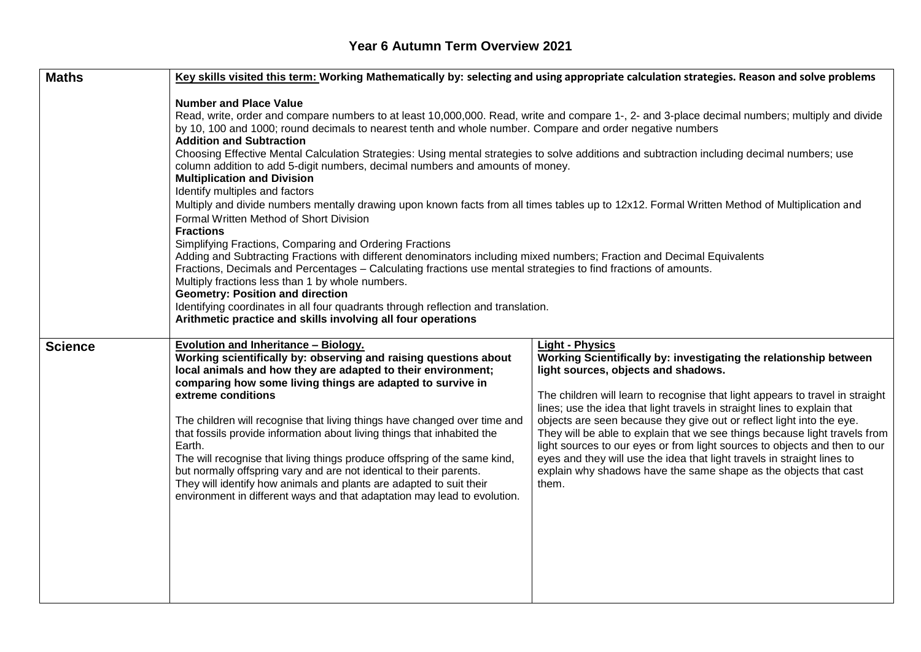| <b>Maths</b>   | Key skills visited this term: Working Mathematically by: selecting and using appropriate calculation strategies. Reason and solve problems                                                                                                                                                                                                                                                                                                                                                                                                                                                                                                                                                                                                                                                                                                                                                                                                                                                                                                                                                                                                                                                                                                                                                                                                                                                                         |                                                                                                                                                                                                                                                                                                                                                                                                                                                                                                                                                                                                                                                                                              |  |
|----------------|--------------------------------------------------------------------------------------------------------------------------------------------------------------------------------------------------------------------------------------------------------------------------------------------------------------------------------------------------------------------------------------------------------------------------------------------------------------------------------------------------------------------------------------------------------------------------------------------------------------------------------------------------------------------------------------------------------------------------------------------------------------------------------------------------------------------------------------------------------------------------------------------------------------------------------------------------------------------------------------------------------------------------------------------------------------------------------------------------------------------------------------------------------------------------------------------------------------------------------------------------------------------------------------------------------------------------------------------------------------------------------------------------------------------|----------------------------------------------------------------------------------------------------------------------------------------------------------------------------------------------------------------------------------------------------------------------------------------------------------------------------------------------------------------------------------------------------------------------------------------------------------------------------------------------------------------------------------------------------------------------------------------------------------------------------------------------------------------------------------------------|--|
|                | <b>Number and Place Value</b><br>Read, write, order and compare numbers to at least 10,000,000. Read, write and compare 1-, 2- and 3-place decimal numbers; multiply and divide<br>by 10, 100 and 1000; round decimals to nearest tenth and whole number. Compare and order negative numbers<br><b>Addition and Subtraction</b><br>Choosing Effective Mental Calculation Strategies: Using mental strategies to solve additions and subtraction including decimal numbers; use<br>column addition to add 5-digit numbers, decimal numbers and amounts of money.<br><b>Multiplication and Division</b><br>Identify multiples and factors<br>Multiply and divide numbers mentally drawing upon known facts from all times tables up to 12x12. Formal Written Method of Multiplication and<br>Formal Written Method of Short Division<br><b>Fractions</b><br>Simplifying Fractions, Comparing and Ordering Fractions<br>Adding and Subtracting Fractions with different denominators including mixed numbers; Fraction and Decimal Equivalents<br>Fractions, Decimals and Percentages - Calculating fractions use mental strategies to find fractions of amounts.<br>Multiply fractions less than 1 by whole numbers.<br><b>Geometry: Position and direction</b><br>Identifying coordinates in all four quadrants through reflection and translation.<br>Arithmetic practice and skills involving all four operations |                                                                                                                                                                                                                                                                                                                                                                                                                                                                                                                                                                                                                                                                                              |  |
| <b>Science</b> | Evolution and Inheritance - Biology.<br>Working scientifically by: observing and raising questions about<br>local animals and how they are adapted to their environment;<br>comparing how some living things are adapted to survive in<br>extreme conditions<br>The children will recognise that living things have changed over time and<br>that fossils provide information about living things that inhabited the<br>Earth.<br>The will recognise that living things produce offspring of the same kind,<br>but normally offspring vary and are not identical to their parents.<br>They will identify how animals and plants are adapted to suit their<br>environment in different ways and that adaptation may lead to evolution.                                                                                                                                                                                                                                                                                                                                                                                                                                                                                                                                                                                                                                                                              | <b>Light - Physics</b><br>Working Scientifically by: investigating the relationship between<br>light sources, objects and shadows.<br>The children will learn to recognise that light appears to travel in straight<br>lines; use the idea that light travels in straight lines to explain that<br>objects are seen because they give out or reflect light into the eye.<br>They will be able to explain that we see things because light travels from<br>light sources to our eyes or from light sources to objects and then to our<br>eyes and they will use the idea that light travels in straight lines to<br>explain why shadows have the same shape as the objects that cast<br>them. |  |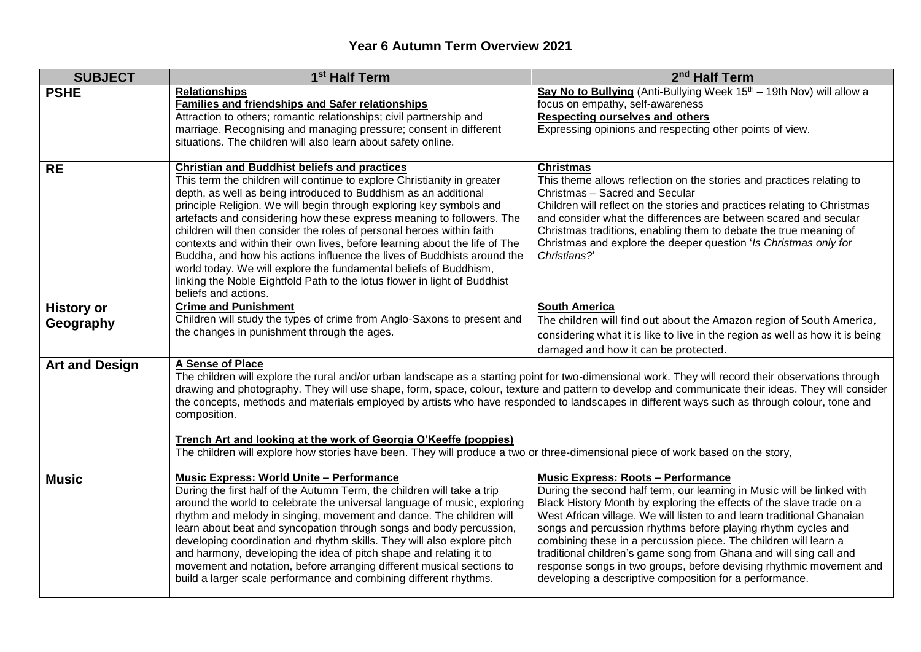## **Year 6 Autumn Term Overview 2021**

| <b>SUBJECT</b>        | 1 <sup>st</sup> Half Term                                                                                                                                                                                                                                                                                                                                                                                                                                                                                                                                                                                                                                                                                                             | 2 <sup>nd</sup> Half Term                                                                                                                                                                                                                                                                                                                                                                                                                                                                                                                                             |
|-----------------------|---------------------------------------------------------------------------------------------------------------------------------------------------------------------------------------------------------------------------------------------------------------------------------------------------------------------------------------------------------------------------------------------------------------------------------------------------------------------------------------------------------------------------------------------------------------------------------------------------------------------------------------------------------------------------------------------------------------------------------------|-----------------------------------------------------------------------------------------------------------------------------------------------------------------------------------------------------------------------------------------------------------------------------------------------------------------------------------------------------------------------------------------------------------------------------------------------------------------------------------------------------------------------------------------------------------------------|
| <b>PSHE</b>           | <b>Relationships</b><br><b>Families and friendships and Safer relationships</b>                                                                                                                                                                                                                                                                                                                                                                                                                                                                                                                                                                                                                                                       | Say No to Bullying (Anti-Bullying Week 15 <sup>th</sup> - 19th Nov) will allow a<br>focus on empathy, self-awareness                                                                                                                                                                                                                                                                                                                                                                                                                                                  |
|                       | Attraction to others; romantic relationships; civil partnership and<br>marriage. Recognising and managing pressure; consent in different                                                                                                                                                                                                                                                                                                                                                                                                                                                                                                                                                                                              | <b>Respecting ourselves and others</b><br>Expressing opinions and respecting other points of view.                                                                                                                                                                                                                                                                                                                                                                                                                                                                    |
|                       | situations. The children will also learn about safety online.                                                                                                                                                                                                                                                                                                                                                                                                                                                                                                                                                                                                                                                                         |                                                                                                                                                                                                                                                                                                                                                                                                                                                                                                                                                                       |
|                       |                                                                                                                                                                                                                                                                                                                                                                                                                                                                                                                                                                                                                                                                                                                                       |                                                                                                                                                                                                                                                                                                                                                                                                                                                                                                                                                                       |
| <b>RE</b>             | <b>Christian and Buddhist beliefs and practices</b><br>This term the children will continue to explore Christianity in greater<br>depth, as well as being introduced to Buddhism as an additional<br>principle Religion. We will begin through exploring key symbols and<br>artefacts and considering how these express meaning to followers. The<br>children will then consider the roles of personal heroes within faith<br>contexts and within their own lives, before learning about the life of The<br>Buddha, and how his actions influence the lives of Buddhists around the<br>world today. We will explore the fundamental beliefs of Buddhism,<br>linking the Noble Eightfold Path to the lotus flower in light of Buddhist | <b>Christmas</b><br>This theme allows reflection on the stories and practices relating to<br>Christmas - Sacred and Secular<br>Children will reflect on the stories and practices relating to Christmas<br>and consider what the differences are between scared and secular<br>Christmas traditions, enabling them to debate the true meaning of<br>Christmas and explore the deeper question 'Is Christmas only for<br>Christians?                                                                                                                                   |
|                       | beliefs and actions.                                                                                                                                                                                                                                                                                                                                                                                                                                                                                                                                                                                                                                                                                                                  |                                                                                                                                                                                                                                                                                                                                                                                                                                                                                                                                                                       |
| <b>History or</b>     | <b>Crime and Punishment</b>                                                                                                                                                                                                                                                                                                                                                                                                                                                                                                                                                                                                                                                                                                           | <b>South America</b>                                                                                                                                                                                                                                                                                                                                                                                                                                                                                                                                                  |
| Geography             | Children will study the types of crime from Anglo-Saxons to present and<br>the changes in punishment through the ages.                                                                                                                                                                                                                                                                                                                                                                                                                                                                                                                                                                                                                | The children will find out about the Amazon region of South America,<br>considering what it is like to live in the region as well as how it is being<br>damaged and how it can be protected.                                                                                                                                                                                                                                                                                                                                                                          |
| <b>Art and Design</b> | A Sense of Place<br>The children will explore the rural and/or urban landscape as a starting point for two-dimensional work. They will record their observations through<br>drawing and photography. They will use shape, form, space, colour, texture and pattern to develop and communicate their ideas. They will consider<br>the concepts, methods and materials employed by artists who have responded to landscapes in different ways such as through colour, tone and<br>composition.<br>Trench Art and looking at the work of Georgia O'Keeffe (poppies)<br>The children will explore how stories have been. They will produce a two or three-dimensional piece of work based on the story,                                   |                                                                                                                                                                                                                                                                                                                                                                                                                                                                                                                                                                       |
| <b>Music</b>          | <b>Music Express: World Unite - Performance</b>                                                                                                                                                                                                                                                                                                                                                                                                                                                                                                                                                                                                                                                                                       | <b>Music Express: Roots - Performance</b>                                                                                                                                                                                                                                                                                                                                                                                                                                                                                                                             |
|                       | During the first half of the Autumn Term, the children will take a trip<br>around the world to celebrate the universal language of music, exploring<br>rhythm and melody in singing, movement and dance. The children will<br>learn about beat and syncopation through songs and body percussion,<br>developing coordination and rhythm skills. They will also explore pitch<br>and harmony, developing the idea of pitch shape and relating it to<br>movement and notation, before arranging different musical sections to<br>build a larger scale performance and combining different rhythms.                                                                                                                                      | During the second half term, our learning in Music will be linked with<br>Black History Month by exploring the effects of the slave trade on a<br>West African village. We will listen to and learn traditional Ghanaian<br>songs and percussion rhythms before playing rhythm cycles and<br>combining these in a percussion piece. The children will learn a<br>traditional children's game song from Ghana and will sing call and<br>response songs in two groups, before devising rhythmic movement and<br>developing a descriptive composition for a performance. |